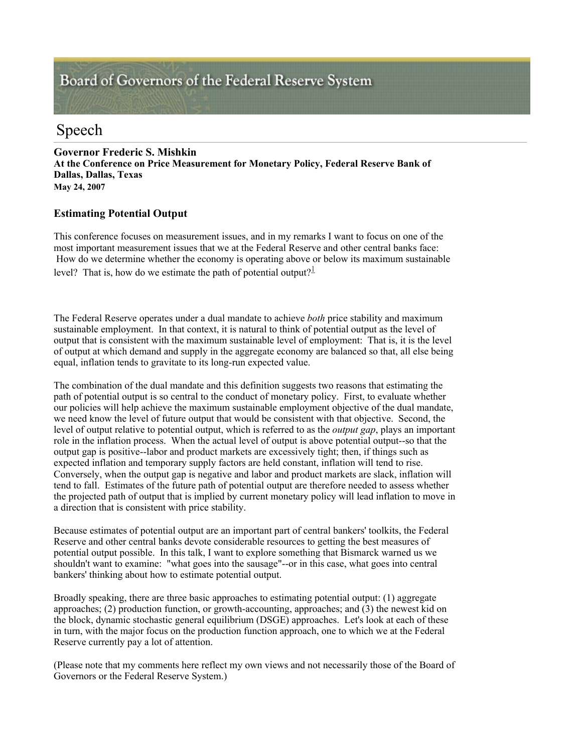# Board of Governors of the Federal Reserve System

## Speech

**Governor Frederic S. Mishkin At the Conference on Price Measurement for Monetary Policy, Federal Reserve Bank of Dallas, Dallas, Texas May 24, 2007** 

### **Estimating Potential Output**

This conference focuses on measurement issues, and in my remarks I want to focus on one of the most important measurement issues that we at the Federal Reserve and other central banks face: How do we determine whether the economy is operating above or below its maximum sustainable level? That is, how do we estimate the path of potential output?<sup>1</sup>

The Federal Reserve operates under a dual mandate to achieve *both* price stability and maximum sustainable employment. In that context, it is natural to think of potential output as the level of output that is consistent with the maximum sustainable level of employment: That is, it is the level of output at which demand and supply in the aggregate economy are balanced so that, all else being equal, inflation tends to gravitate to its long-run expected value.

The combination of the dual mandate and this definition suggests two reasons that estimating the path of potential output is so central to the conduct of monetary policy. First, to evaluate whether our policies will help achieve the maximum sustainable employment objective of the dual mandate, we need know the level of future output that would be consistent with that objective. Second, the level of output relative to potential output, which is referred to as the *output gap*, plays an important role in the inflation process. When the actual level of output is above potential output--so that the output gap is positive--labor and product markets are excessively tight; then, if things such as expected inflation and temporary supply factors are held constant, inflation will tend to rise. Conversely, when the output gap is negative and labor and product markets are slack, inflation will tend to fall. Estimates of the future path of potential output are therefore needed to assess whether the projected path of output that is implied by current monetary policy will lead inflation to move in a direction that is consistent with price stability.

Because estimates of potential output are an important part of central bankers' toolkits, the Federal Reserve and other central banks devote considerable resources to getting the best measures of potential output possible. In this talk, I want to explore something that Bismarck warned us we shouldn't want to examine: "what goes into the sausage"--or in this case, what goes into central bankers' thinking about how to estimate potential output.

Broadly speaking, there are three basic approaches to estimating potential output: (1) aggregate approaches; (2) production function, or growth-accounting, approaches; and (3) the newest kid on the block, dynamic stochastic general equilibrium (DSGE) approaches. Let's look at each of these in turn, with the major focus on the production function approach, one to which we at the Federal Reserve currently pay a lot of attention.

(Please note that my comments here reflect my own views and not necessarily those of the Board of Governors or the Federal Reserve System.)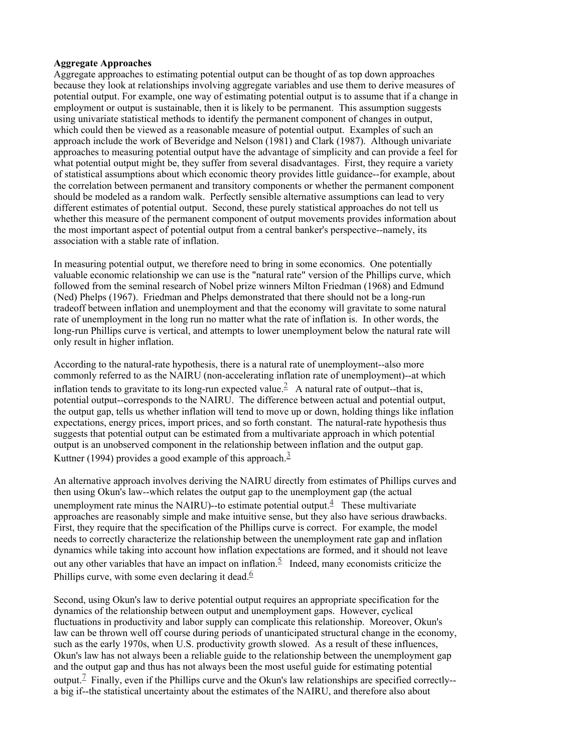#### **Aggregate Approaches**

Aggregate approaches to estimating potential output can be thought of as top down approaches because they look at relationships involving aggregate variables and use them to derive measures of potential output. For example, one way of estimating potential output is to assume that if a change in employment or output is sustainable, then it is likely to be permanent. This assumption suggests using univariate statistical methods to identify the permanent component of changes in output, which could then be viewed as a reasonable measure of potential output. Examples of such an approach include the work of Beveridge and Nelson (1981) and Clark (1987). Although univariate approaches to measuring potential output have the advantage of simplicity and can provide a feel for what potential output might be, they suffer from several disadvantages. First, they require a variety of statistical assumptions about which economic theory provides little guidance--for example, about the correlation between permanent and transitory components or whether the permanent component should be modeled as a random walk. Perfectly sensible alternative assumptions can lead to very different estimates of potential output. Second, these purely statistical approaches do not tell us whether this measure of the permanent component of output movements provides information about the most important aspect of potential output from a central banker's perspective--namely, its association with a stable rate of inflation.

In measuring potential output, we therefore need to bring in some economics. One potentially valuable economic relationship we can use is the "natural rate" version of the Phillips curve, which followed from the seminal research of Nobel prize winners Milton Friedman (1968) and Edmund (Ned) Phelps (1967). Friedman and Phelps demonstrated that there should not be a long-run tradeoff between inflation and unemployment and that the economy will gravitate to some natural rate of unemployment in the long run no matter what the rate of inflation is. In other words, the long-run Phillips curve is vertical, and attempts to lower unemployment below the natural rate will only result in higher inflation.

According to the natural-rate hypothesis, there is a natural rate of unemployment--also more commonly referred to as the NAIRU (non-accelerating inflation rate of unemployment)--at which inflation tends to gravitate to its long-run expected value.<sup>2</sup> A natural rate of output--that is, potential output--corresponds to the NAIRU. The difference between actual and potential output, the output gap, tells us whether inflation will tend to move up or down, holding things like inflation expectations, energy prices, import prices, and so forth constant. The natural-rate hypothesis thus suggests that potential output can be estimated from a multivariate approach in which potential output is an unobserved component in the relationship between inflation and the output gap. Kuttner (1994) provides a good example of this approach.<sup>3</sup>

An alternative approach involves deriving the NAIRU directly from estimates of Phillips curves and then using Okun's law--which relates the output gap to the unemployment gap (the actual unemployment rate minus the NAIRU)--to estimate potential output. $\frac{4}{1}$  These multivariate approaches are reasonably simple and make intuitive sense, but they also have serious drawbacks. First, they require that the specification of the Phillips curve is correct. For example, the model needs to correctly characterize the relationship between the unemployment rate gap and inflation dynamics while taking into account how inflation expectations are formed, and it should not leave out any other variables that have an impact on inflation.<sup>5</sup> Indeed, many economists criticize the Phillips curve, with some even declaring it dead. $6$ 

Second, using Okun's law to derive potential output requires an appropriate specification for the dynamics of the relationship between output and unemployment gaps. However, cyclical fluctuations in productivity and labor supply can complicate this relationship. Moreover, Okun's law can be thrown well off course during periods of unanticipated structural change in the economy, such as the early 1970s, when U.S. productivity growth slowed. As a result of these influences, Okun's law has not always been a reliable guide to the relationship between the unemployment gap and the output gap and thus has not always been the most useful guide for estimating potential output.<sup>7</sup> Finally, even if the Phillips curve and the Okun's law relationships are specified correctly-a big if--the statistical uncertainty about the estimates of the NAIRU, and therefore also about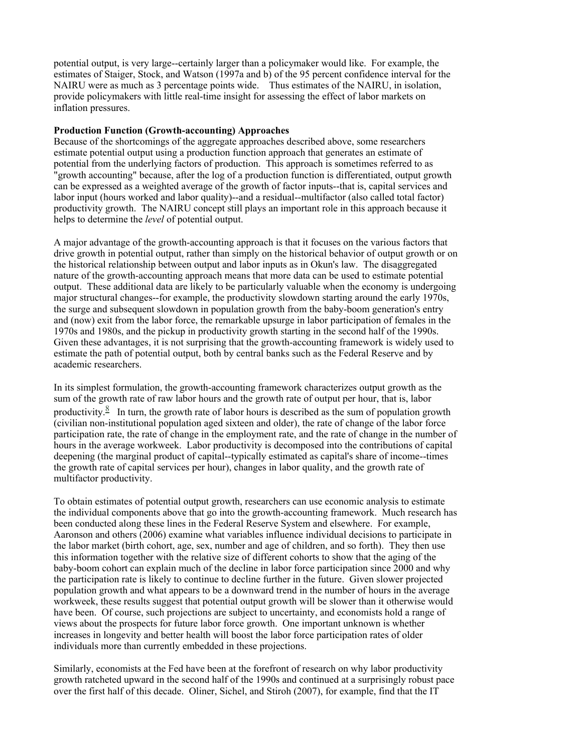potential output, is very large--certainly larger than a policymaker would like. For example, the estimates of Staiger, Stock, and Watson (1997a and b) of the 95 percent confidence interval for the NAIRU were as much as 3 percentage points wide. Thus estimates of the NAIRU, in isolation, provide policymakers with little real-time insight for assessing the effect of labor markets on inflation pressures.

#### **Production Function (Growth-accounting) Approaches**

Because of the shortcomings of the aggregate approaches described above, some researchers estimate potential output using a production function approach that generates an estimate of potential from the underlying factors of production. This approach is sometimes referred to as "growth accounting" because, after the log of a production function is differentiated, output growth can be expressed as a weighted average of the growth of factor inputs--that is, capital services and labor input (hours worked and labor quality)--and a residual--multifactor (also called total factor) productivity growth. The NAIRU concept still plays an important role in this approach because it helps to determine the *level* of potential output.

A major advantage of the growth-accounting approach is that it focuses on the various factors that drive growth in potential output, rather than simply on the historical behavior of output growth or on the historical relationship between output and labor inputs as in Okun's law. The disaggregated nature of the growth-accounting approach means that more data can be used to estimate potential output. These additional data are likely to be particularly valuable when the economy is undergoing major structural changes--for example, the productivity slowdown starting around the early 1970s, the surge and subsequent slowdown in population growth from the baby-boom generation's entry and (now) exit from the labor force, the remarkable upsurge in labor participation of females in the 1970s and 1980s, and the pickup in productivity growth starting in the second half of the 1990s. Given these advantages, it is not surprising that the growth-accounting framework is widely used to estimate the path of potential output, both by central banks such as the Federal Reserve and by academic researchers.

In its simplest formulation, the growth-accounting framework characterizes output growth as the sum of the growth rate of raw labor hours and the growth rate of output per hour, that is, labor productivity.<sup>8</sup> In turn, the growth rate of labor hours is described as the sum of population growth (civilian non-institutional population aged sixteen and older), the rate of change of the labor force participation rate, the rate of change in the employment rate, and the rate of change in the number of hours in the average workweek. Labor productivity is decomposed into the contributions of capital deepening (the marginal product of capital--typically estimated as capital's share of income--times the growth rate of capital services per hour), changes in labor quality, and the growth rate of multifactor productivity.

To obtain estimates of potential output growth, researchers can use economic analysis to estimate the individual components above that go into the growth-accounting framework. Much research has been conducted along these lines in the Federal Reserve System and elsewhere. For example, Aaronson and others (2006) examine what variables influence individual decisions to participate in the labor market (birth cohort, age, sex, number and age of children, and so forth). They then use this information together with the relative size of different cohorts to show that the aging of the baby-boom cohort can explain much of the decline in labor force participation since 2000 and why the participation rate is likely to continue to decline further in the future. Given slower projected population growth and what appears to be a downward trend in the number of hours in the average workweek, these results suggest that potential output growth will be slower than it otherwise would have been. Of course, such projections are subject to uncertainty, and economists hold a range of views about the prospects for future labor force growth. One important unknown is whether increases in longevity and better health will boost the labor force participation rates of older individuals more than currently embedded in these projections.

Similarly, economists at the Fed have been at the forefront of research on why labor productivity growth ratcheted upward in the second half of the 1990s and continued at a surprisingly robust pace over the first half of this decade. Oliner, Sichel, and Stiroh (2007), for example, find that the IT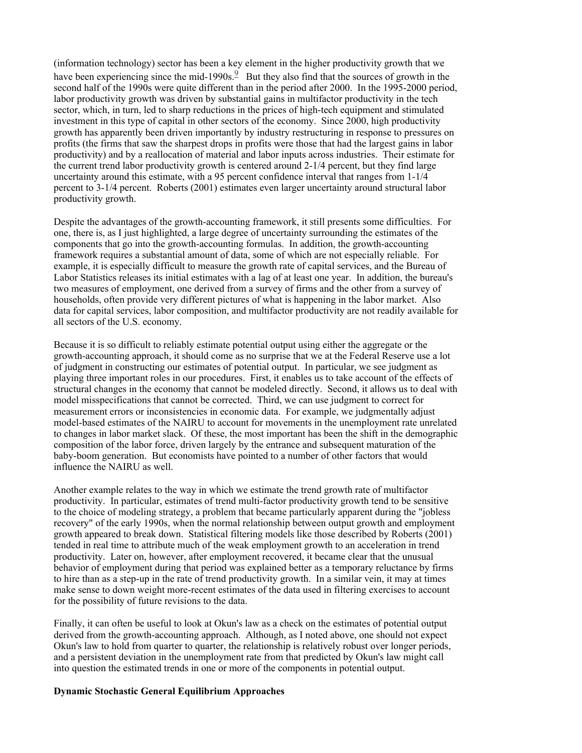(information technology) sector has been a key element in the higher productivity growth that we have been experiencing since the mid-1990s. $\frac{9}{5}$  But they also find that the sources of growth in the second half of the 1990s were quite different than in the period after 2000. In the 1995-2000 period, labor productivity growth was driven by substantial gains in multifactor productivity in the tech sector, which, in turn, led to sharp reductions in the prices of high-tech equipment and stimulated investment in this type of capital in other sectors of the economy. Since 2000, high productivity growth has apparently been driven importantly by industry restructuring in response to pressures on profits (the firms that saw the sharpest drops in profits were those that had the largest gains in labor productivity) and by a reallocation of material and labor inputs across industries. Their estimate for the current trend labor productivity growth is centered around 2-1/4 percent, but they find large uncertainty around this estimate, with a 95 percent confidence interval that ranges from 1-1/4 percent to 3-1/4 percent. Roberts (2001) estimates even larger uncertainty around structural labor productivity growth.

Despite the advantages of the growth-accounting framework, it still presents some difficulties. For one, there is, as I just highlighted, a large degree of uncertainty surrounding the estimates of the components that go into the growth-accounting formulas. In addition, the growth-accounting framework requires a substantial amount of data, some of which are not especially reliable. For example, it is especially difficult to measure the growth rate of capital services, and the Bureau of Labor Statistics releases its initial estimates with a lag of at least one year. In addition, the bureau's two measures of employment, one derived from a survey of firms and the other from a survey of households, often provide very different pictures of what is happening in the labor market. Also data for capital services, labor composition, and multifactor productivity are not readily available for all sectors of the U.S. economy.

Because it is so difficult to reliably estimate potential output using either the aggregate or the growth-accounting approach, it should come as no surprise that we at the Federal Reserve use a lot of judgment in constructing our estimates of potential output. In particular, we see judgment as playing three important roles in our procedures. First, it enables us to take account of the effects of structural changes in the economy that cannot be modeled directly. Second, it allows us to deal with model misspecifications that cannot be corrected. Third, we can use judgment to correct for measurement errors or inconsistencies in economic data. For example, we judgmentally adjust model-based estimates of the NAIRU to account for movements in the unemployment rate unrelated to changes in labor market slack. Of these, the most important has been the shift in the demographic composition of the labor force, driven largely by the entrance and subsequent maturation of the baby-boom generation. But economists have pointed to a number of other factors that would influence the NAIRU as well.

Another example relates to the way in which we estimate the trend growth rate of multifactor productivity. In particular, estimates of trend multi-factor productivity growth tend to be sensitive to the choice of modeling strategy, a problem that became particularly apparent during the "jobless recovery" of the early 1990s, when the normal relationship between output growth and employment growth appeared to break down. Statistical filtering models like those described by Roberts (2001) tended in real time to attribute much of the weak employment growth to an acceleration in trend productivity. Later on, however, after employment recovered, it became clear that the unusual behavior of employment during that period was explained better as a temporary reluctance by firms to hire than as a step-up in the rate of trend productivity growth. In a similar vein, it may at times make sense to down weight more-recent estimates of the data used in filtering exercises to account for the possibility of future revisions to the data.

Finally, it can often be useful to look at Okun's law as a check on the estimates of potential output derived from the growth-accounting approach. Although, as I noted above, one should not expect Okun's law to hold from quarter to quarter, the relationship is relatively robust over longer periods, and a persistent deviation in the unemployment rate from that predicted by Okun's law might call into question the estimated trends in one or more of the components in potential output.

#### **Dynamic Stochastic General Equilibrium Approaches**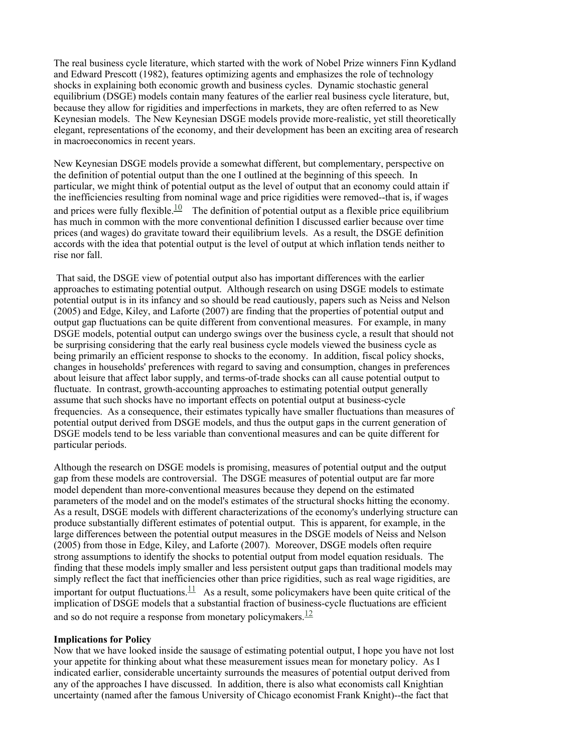The real business cycle literature, which started with the work of Nobel Prize winners Finn Kydland and Edward Prescott (1982), features optimizing agents and emphasizes the role of technology shocks in explaining both economic growth and business cycles. Dynamic stochastic general equilibrium (DSGE) models contain many features of the earlier real business cycle literature, but, because they allow for rigidities and imperfections in markets, they are often referred to as New Keynesian models. The New Keynesian DSGE models provide more-realistic, yet still theoretically elegant, representations of the economy, and their development has been an exciting area of research in macroeconomics in recent years.

New Keynesian DSGE models provide a somewhat different, but complementary, perspective on the definition of potential output than the one I outlined at the beginning of this speech. In particular, we might think of potential output as the level of output that an economy could attain if the inefficiencies resulting from nominal wage and price rigidities were removed--that is, if wages and prices were fully flexible.<sup>10</sup> The definition of potential output as a flexible price equilibrium has much in common with the more conventional definition I discussed earlier because over time prices (and wages) do gravitate toward their equilibrium levels. As a result, the DSGE definition accords with the idea that potential output is the level of output at which inflation tends neither to rise nor fall.

That said, the DSGE view of potential output also has important differences with the earlier approaches to estimating potential output. Although research on using DSGE models to estimate potential output is in its infancy and so should be read cautiously, papers such as Neiss and Nelson (2005) and Edge, Kiley, and Laforte (2007) are finding that the properties of potential output and output gap fluctuations can be quite different from conventional measures. For example, in many DSGE models, potential output can undergo swings over the business cycle, a result that should not be surprising considering that the early real business cycle models viewed the business cycle as being primarily an efficient response to shocks to the economy. In addition, fiscal policy shocks, changes in households' preferences with regard to saving and consumption, changes in preferences about leisure that affect labor supply, and terms-of-trade shocks can all cause potential output to fluctuate. In contrast, growth-accounting approaches to estimating potential output generally assume that such shocks have no important effects on potential output at business-cycle frequencies. As a consequence, their estimates typically have smaller fluctuations than measures of potential output derived from DSGE models, and thus the output gaps in the current generation of DSGE models tend to be less variable than conventional measures and can be quite different for particular periods.

Although the research on DSGE models is promising, measures of potential output and the output gap from these models are controversial. The DSGE measures of potential output are far more model dependent than more-conventional measures because they depend on the estimated parameters of the model and on the model's estimates of the structural shocks hitting the economy. As a result, DSGE models with different characterizations of the economy's underlying structure can produce substantially different estimates of potential output. This is apparent, for example, in the large differences between the potential output measures in the DSGE models of Neiss and Nelson (2005) from those in Edge, Kiley, and Laforte (2007). Moreover, DSGE models often require strong assumptions to identify the shocks to potential output from model equation residuals. The finding that these models imply smaller and less persistent output gaps than traditional models may simply reflect the fact that inefficiencies other than price rigidities, such as real wage rigidities, are important for output fluctuations.<sup>11</sup> As a result, some policymakers have been quite critical of the implication of DSGE models that a substantial fraction of business-cycle fluctuations are efficient and so do not require a response from monetary policymakers. $\frac{12}{1}$ 

#### **Implications for Policy**

Now that we have looked inside the sausage of estimating potential output, I hope you have not lost your appetite for thinking about what these measurement issues mean for monetary policy. As I indicated earlier, considerable uncertainty surrounds the measures of potential output derived from any of the approaches I have discussed. In addition, there is also what economists call Knightian uncertainty (named after the famous University of Chicago economist Frank Knight)--the fact that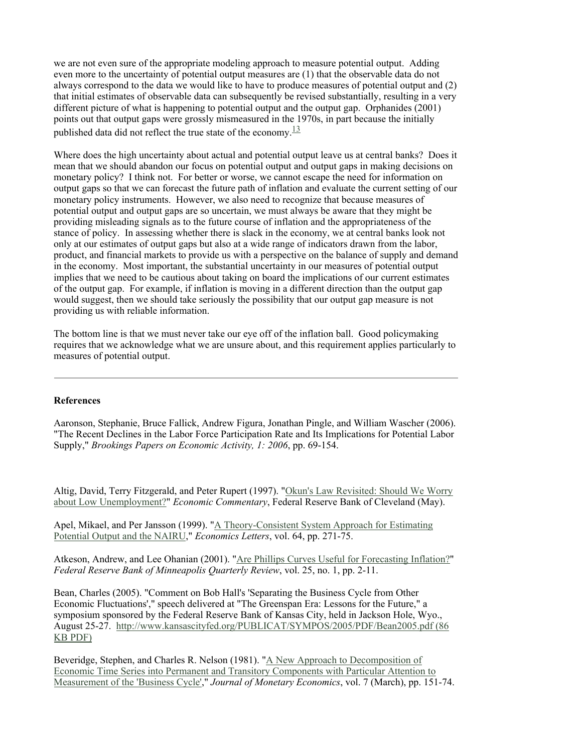we are not even sure of the appropriate modeling approach to measure potential output. Adding even more to the uncertainty of potential output measures are (1) that the observable data do not always correspond to the data we would like to have to produce measures of potential output and (2) that initial estimates of observable data can subsequently be revised substantially, resulting in a very different picture of what is happening to potential output and the output gap. Orphanides (2001) points out that output gaps were grossly mismeasured in the 1970s, in part because the initially published data did not reflect the true state of the economy. $\frac{13}{12}$ 

Where does the high uncertainty about actual and potential output leave us at central banks? Does it mean that we should abandon our focus on potential output and output gaps in making decisions on monetary policy? I think not. For better or worse, we cannot escape the need for information on output gaps so that we can forecast the future path of inflation and evaluate the current setting of our monetary policy instruments. However, we also need to recognize that because measures of potential output and output gaps are so uncertain, we must always be aware that they might be providing misleading signals as to the future course of inflation and the appropriateness of the stance of policy. In assessing whether there is slack in the economy, we at central banks look not only at our estimates of output gaps but also at a wide range of indicators drawn from the labor, product, and financial markets to provide us with a perspective on the balance of supply and demand in the economy. Most important, the substantial uncertainty in our measures of potential output implies that we need to be cautious about taking on board the implications of our current estimates of the output gap. For example, if inflation is moving in a different direction than the output gap would suggest, then we should take seriously the possibility that our output gap measure is not providing us with reliable information.

The bottom line is that we must never take our eye off of the inflation ball. Good policymaking requires that we acknowledge what we are unsure about, and this requirement applies particularly to measures of potential output.

#### **References**

Aaronson, Stephanie, Bruce Fallick, Andrew Figura, Jonathan Pingle, and William Wascher (2006). "The Recent Declines in the Labor Force Participation Rate and Its Implications for Potential Labor Supply," *Brookings Papers on Economic Activity, 1: 2006*, pp. 69-154.

Altig, David, Terry Fitzgerald, and Peter Rupert (1997). "Okun's Law Revisited: Should We Worry about Low Unemployment?" *Economic Commentary*, Federal Reserve Bank of Cleveland (May).

Apel, Mikael, and Per Jansson (1999). "A Theory-Consistent System Approach for Estimating Potential Output and the NAIRU," *Economics Letters*, vol. 64, pp. 271-75.

Atkeson, Andrew, and Lee Ohanian (2001). "Are Phillips Curves Useful for Forecasting Inflation?" *Federal Reserve Bank of Minneapolis Quarterly Review*, vol. 25, no. 1, pp. 2-11.

Bean, Charles (2005). "Comment on Bob Hall's 'Separating the Business Cycle from Other Economic Fluctuations'," speech delivered at "The Greenspan Era: Lessons for the Future," a symposium sponsored by the Federal Reserve Bank of Kansas City, held in Jackson Hole, Wyo., August 25-27. http://www.kansascityfed.org/PUBLICAT/SYMPOS/2005/PDF/Bean2005.pdf (86 KB PDF)

Beveridge, Stephen, and Charles R. Nelson (1981). "A New Approach to Decomposition of Economic Time Series into Permanent and Transitory Components with Particular Attention to Measurement of the 'Business Cycle'," *Journal of Monetary Economics*, vol. 7 (March), pp. 151-74.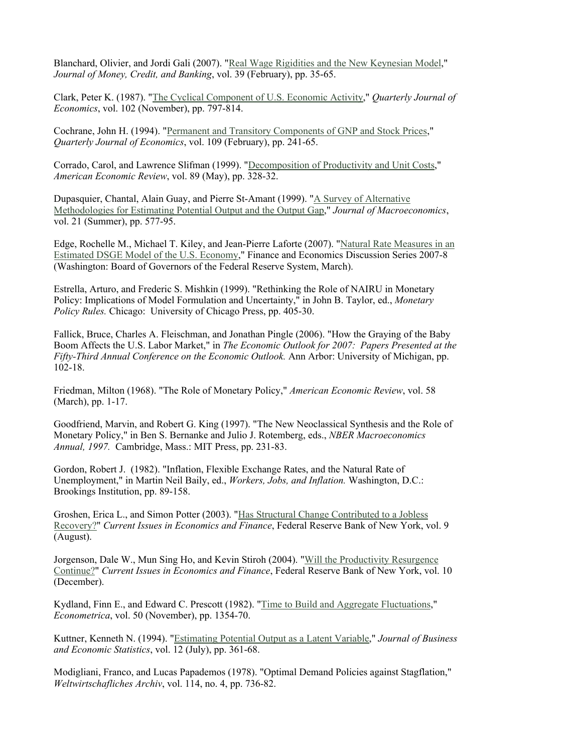Blanchard, Olivier, and Jordi Gali (2007). "Real Wage Rigidities and the New Keynesian Model," *Journal of Money, Credit, and Banking*, vol. 39 (February), pp. 35-65.

Clark, Peter K. (1987). "The Cyclical Component of U.S. Economic Activity," *Quarterly Journal of Economics*, vol. 102 (November), pp. 797-814.

Cochrane, John H. (1994). "Permanent and Transitory Components of GNP and Stock Prices," *Quarterly Journal of Economics*, vol. 109 (February), pp. 241-65.

Corrado, Carol, and Lawrence Slifman (1999). "Decomposition of Productivity and Unit Costs," *American Economic Review*, vol. 89 (May), pp. 328-32.

Dupasquier, Chantal, Alain Guay, and Pierre St-Amant (1999). "A Survey of Alternative Methodologies for Estimating Potential Output and the Output Gap," *Journal of Macroeconomics*, vol. 21 (Summer), pp. 577-95.

Edge, Rochelle M., Michael T. Kiley, and Jean-Pierre Laforte (2007). "Natural Rate Measures in an Estimated DSGE Model of the U.S. Economy," Finance and Economics Discussion Series 2007-8 (Washington: Board of Governors of the Federal Reserve System, March).

Estrella, Arturo, and Frederic S. Mishkin (1999). "Rethinking the Role of NAIRU in Monetary Policy: Implications of Model Formulation and Uncertainty," in John B. Taylor, ed., *Monetary Policy Rules.* Chicago: University of Chicago Press, pp. 405-30.

Fallick, Bruce, Charles A. Fleischman, and Jonathan Pingle (2006). "How the Graying of the Baby Boom Affects the U.S. Labor Market," in *The Economic Outlook for 2007: Papers Presented at the Fifty-Third Annual Conference on the Economic Outlook.* Ann Arbor: University of Michigan, pp. 102-18.

Friedman, Milton (1968). "The Role of Monetary Policy," *American Economic Review*, vol. 58 (March), pp. 1-17.

Goodfriend, Marvin, and Robert G. King (1997). "The New Neoclassical Synthesis and the Role of Monetary Policy," in Ben S. Bernanke and Julio J. Rotemberg, eds., *NBER Macroeconomics Annual, 1997.* Cambridge, Mass.: MIT Press, pp. 231-83.

Gordon, Robert J. (1982). "Inflation, Flexible Exchange Rates, and the Natural Rate of Unemployment," in Martin Neil Baily, ed., *Workers, Jobs, and Inflation.* Washington, D.C.: Brookings Institution, pp. 89-158.

Groshen, Erica L., and Simon Potter (2003). "Has Structural Change Contributed to a Jobless Recovery?" *Current Issues in Economics and Finance*, Federal Reserve Bank of New York, vol. 9 (August).

Jorgenson, Dale W., Mun Sing Ho, and Kevin Stiroh (2004). "Will the Productivity Resurgence Continue?" *Current Issues in Economics and Finance*, Federal Reserve Bank of New York, vol. 10 (December).

Kydland, Finn E., and Edward C. Prescott (1982). "Time to Build and Aggregate Fluctuations," *Econometrica*, vol. 50 (November), pp. 1354-70.

Kuttner, Kenneth N. (1994). "Estimating Potential Output as a Latent Variable," *Journal of Business and Economic Statistics*, vol. 12 (July), pp. 361-68.

Modigliani, Franco, and Lucas Papademos (1978). "Optimal Demand Policies against Stagflation," *Weltwirtschafliches Archiv*, vol. 114, no. 4, pp. 736-82.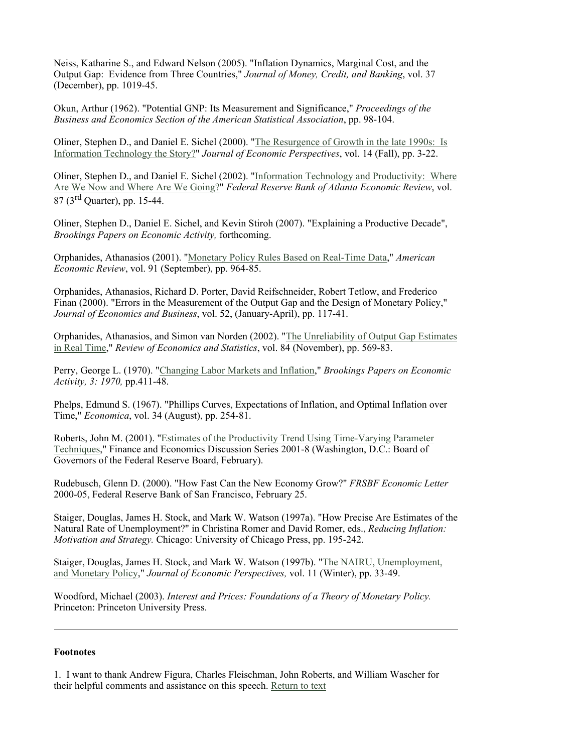Neiss, Katharine S., and Edward Nelson (2005). "Inflation Dynamics, Marginal Cost, and the Output Gap: Evidence from Three Countries," *Journal of Money, Credit, and Banking*, vol. 37 (December), pp. 1019-45.

Okun, Arthur (1962). "Potential GNP: Its Measurement and Significance," *Proceedings of the Business and Economics Section of the American Statistical Association*, pp. 98-104.

Oliner, Stephen D., and Daniel E. Sichel (2000). "The Resurgence of Growth in the late 1990s: Is Information Technology the Story?" *Journal of Economic Perspectives*, vol. 14 (Fall), pp. 3-22.

Oliner, Stephen D., and Daniel E. Sichel (2002). "Information Technology and Productivity: Where Are We Now and Where Are We Going?" *Federal Reserve Bank of Atlanta Economic Review*, vol. 87 (3<sup>rd</sup> Ouarter), pp. 15-44.

Oliner, Stephen D., Daniel E. Sichel, and Kevin Stiroh (2007). "Explaining a Productive Decade", *Brookings Papers on Economic Activity,* forthcoming.

Orphanides, Athanasios (2001). "Monetary Policy Rules Based on Real-Time Data," *American Economic Review*, vol. 91 (September), pp. 964-85.

Orphanides, Athanasios, Richard D. Porter, David Reifschneider, Robert Tetlow, and Frederico Finan (2000). "Errors in the Measurement of the Output Gap and the Design of Monetary Policy," *Journal of Economics and Business*, vol. 52, (January-April), pp. 117-41.

Orphanides, Athanasios, and Simon van Norden (2002). "The Unreliability of Output Gap Estimates in Real Time," *Review of Economics and Statistics*, vol. 84 (November), pp. 569-83.

Perry, George L. (1970). "Changing Labor Markets and Inflation," *Brookings Papers on Economic Activity, 3: 1970,* pp.411-48.

Phelps, Edmund S. (1967). "Phillips Curves, Expectations of Inflation, and Optimal Inflation over Time," *Economica*, vol. 34 (August), pp. 254-81.

Roberts, John M. (2001). "Estimates of the Productivity Trend Using Time-Varying Parameter Techniques," Finance and Economics Discussion Series 2001-8 (Washington, D.C.: Board of Governors of the Federal Reserve Board, February).

Rudebusch, Glenn D. (2000). "How Fast Can the New Economy Grow?" *FRSBF Economic Letter*  2000-05, Federal Reserve Bank of San Francisco, February 25.

Staiger, Douglas, James H. Stock, and Mark W. Watson (1997a). "How Precise Are Estimates of the Natural Rate of Unemployment?" in Christina Romer and David Romer, eds., *Reducing Inflation: Motivation and Strategy.* Chicago: University of Chicago Press, pp. 195-242.

Staiger, Douglas, James H. Stock, and Mark W. Watson (1997b). "The NAIRU, Unemployment, and Monetary Policy," *Journal of Economic Perspectives,* vol. 11 (Winter), pp. 33-49.

Woodford, Michael (2003). *Interest and Prices: Foundations of a Theory of Monetary Policy.* Princeton: Princeton University Press.

#### **Footnotes**

1. I want to thank Andrew Figura, Charles Fleischman, John Roberts, and William Wascher for their helpful comments and assistance on this speech. Return to text